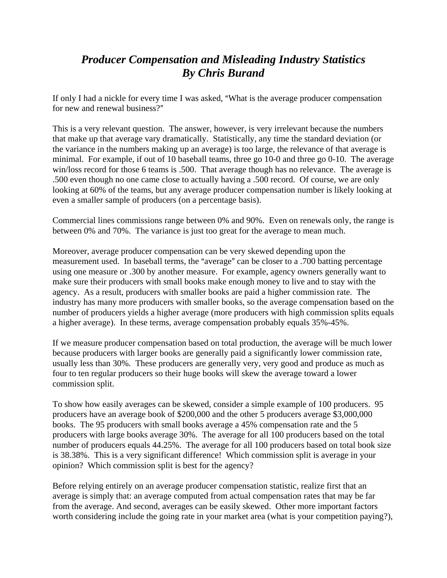## *Producer Compensation and Misleading Industry Statistics By Chris Burand*

If only I had a nickle for every time I was asked, "What is the average producer compensation for new and renewal business?"

This is a very relevant question. The answer, however, is very irrelevant because the numbers that make up that average vary dramatically. Statistically, any time the standard deviation (or the variance in the numbers making up an average) is too large, the relevance of that average is minimal. For example, if out of 10 baseball teams, three go 10-0 and three go 0-10. The average win/loss record for those 6 teams is .500. That average though has no relevance. The average is .500 even though no one came close to actually having a .500 record. Of course, we are only looking at 60% of the teams, but any average producer compensation number is likely looking at even a smaller sample of producers (on a percentage basis).

Commercial lines commissions range between 0% and 90%. Even on renewals only, the range is between 0% and 70%. The variance is just too great for the average to mean much.

Moreover, average producer compensation can be very skewed depending upon the measurement used. In baseball terms, the "average" can be closer to a .700 batting percentage using one measure or .300 by another measure. For example, agency owners generally want to make sure their producers with small books make enough money to live and to stay with the agency. As a result, producers with smaller books are paid a higher commission rate. The industry has many more producers with smaller books, so the average compensation based on the number of producers yields a higher average (more producers with high commission splits equals a higher average). In these terms, average compensation probably equals 35%-45%.

If we measure producer compensation based on total production, the average will be much lower because producers with larger books are generally paid a significantly lower commission rate, usually less than 30%. These producers are generally very, very good and produce as much as four to ten regular producers so their huge books will skew the average toward a lower commission split.

To show how easily averages can be skewed, consider a simple example of 100 producers. 95 producers have an average book of \$200,000 and the other 5 producers average \$3,000,000 books. The 95 producers with small books average a 45% compensation rate and the 5 producers with large books average 30%. The average for all 100 producers based on the total number of producers equals 44.25%. The average for all 100 producers based on total book size is 38.38%. This is a very significant difference! Which commission split is average in your opinion? Which commission split is best for the agency?

Before relying entirely on an average producer compensation statistic, realize first that an average is simply that: an average computed from actual compensation rates that may be far from the average. And second, averages can be easily skewed. Other more important factors worth considering include the going rate in your market area (what is your competition paying?),